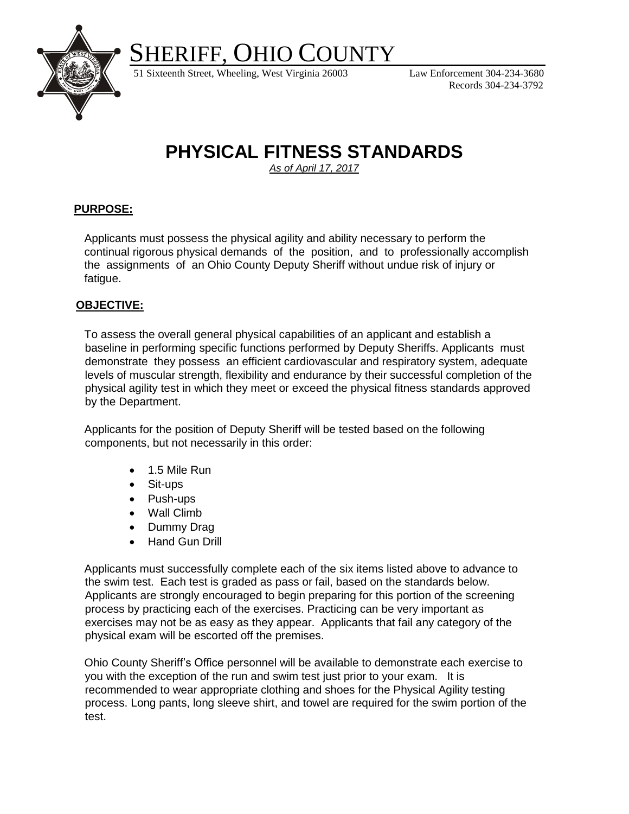SHERIFF, OHIO COUNTY



51 Sixteenth Street, Wheeling, West Virginia 26003 Law Enforcement 304-234-3680

Records 304-234-3792

# **PHYSICAL FITNESS STANDARDS**

*As of April 17, 2017*

# **PURPOSE:**

Applicants must possess the physical agility and ability necessary to perform the continual rigorous physical demands of the position, and to professionally accomplish the assignments of an Ohio County Deputy Sheriff without undue risk of injury or fatigue.

### **OBJECTIVE:**

To assess the overall general physical capabilities of an applicant and establish a baseline in performing specific functions performed by Deputy Sheriffs. Applicants must demonstrate they possess an efficient cardiovascular and respiratory system, adequate levels of muscular strength, flexibility and endurance by their successful completion of the physical agility test in which they meet or exceed the physical fitness standards approved by the Department.

Applicants for the position of Deputy Sheriff will be tested based on the following components, but not necessarily in this order:

- 1.5 Mile Run
- Sit-ups
- Push-ups
- Wall Climb
- Dummy Drag
- Hand Gun Drill

Applicants must successfully complete each of the six items listed above to advance to the swim test. Each test is graded as pass or fail, based on the standards below. Applicants are strongly encouraged to begin preparing for this portion of the screening process by practicing each of the exercises. Practicing can be very important as exercises may not be as easy as they appear. Applicants that fail any category of the physical exam will be escorted off the premises.

Ohio County Sheriff's Office personnel will be available to demonstrate each exercise to you with the exception of the run and swim test just prior to your exam. It is recommended to wear appropriate clothing and shoes for the Physical Agility testing process. Long pants, long sleeve shirt, and towel are required for the swim portion of the test.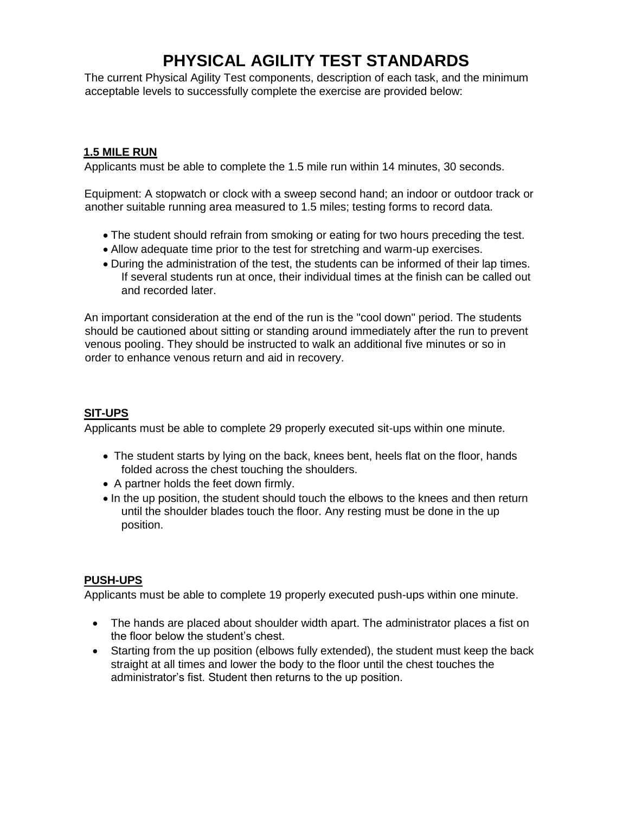# **PHYSICAL AGILITY TEST STANDARDS**

The current Physical Agility Test components, description of each task, and the minimum acceptable levels to successfully complete the exercise are provided below:

# **1.5 MILE RUN**

Applicants must be able to complete the 1.5 mile run within 14 minutes, 30 seconds.

Equipment: A stopwatch or clock with a sweep second hand; an indoor or outdoor track or another suitable running area measured to 1.5 miles; testing forms to record data.

- The student should refrain from smoking or eating for two hours preceding the test.
- Allow adequate time prior to the test for stretching and warm-up exercises.
- During the administration of the test, the students can be informed of their lap times. If several students run at once, their individual times at the finish can be called out and recorded later.

An important consideration at the end of the run is the "cool down" period. The students should be cautioned about sitting or standing around immediately after the run to prevent venous pooling. They should be instructed to walk an additional five minutes or so in order to enhance venous return and aid in recovery.

## **SIT-UPS**

Applicants must be able to complete 29 properly executed sit-ups within one minute.

- The student starts by lying on the back, knees bent, heels flat on the floor, hands folded across the chest touching the shoulders.
- A partner holds the feet down firmly.
- In the up position, the student should touch the elbows to the knees and then return until the shoulder blades touch the floor. Any resting must be done in the up position.

### **PUSH-UPS**

Applicants must be able to complete 19 properly executed push-ups within one minute.

- The hands are placed about shoulder width apart. The administrator places a fist on the floor below the student's chest.
- Starting from the up position (elbows fully extended), the student must keep the back straight at all times and lower the body to the floor until the chest touches the administrator's fist. Student then returns to the up position.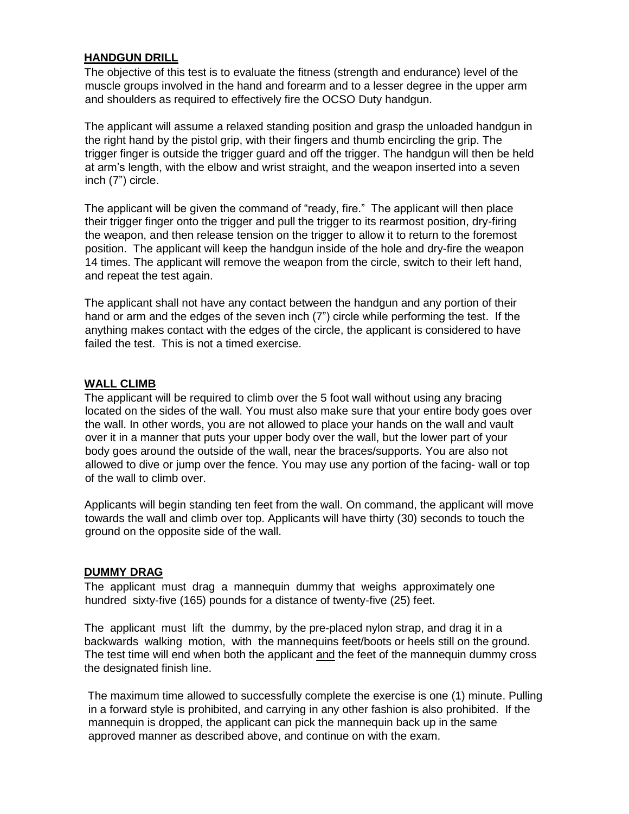#### **HANDGUN DRILL**

The objective of this test is to evaluate the fitness (strength and endurance) level of the muscle groups involved in the hand and forearm and to a lesser degree in the upper arm and shoulders as required to effectively fire the OCSO Duty handgun.

The applicant will assume a relaxed standing position and grasp the unloaded handgun in the right hand by the pistol grip, with their fingers and thumb encircling the grip. The trigger finger is outside the trigger guard and off the trigger. The handgun will then be held at arm's length, with the elbow and wrist straight, and the weapon inserted into a seven inch (7") circle.

The applicant will be given the command of "ready, fire." The applicant will then place their trigger finger onto the trigger and pull the trigger to its rearmost position, dry-firing the weapon, and then release tension on the trigger to allow it to return to the foremost position. The applicant will keep the handgun inside of the hole and dry-fire the weapon 14 times. The applicant will remove the weapon from the circle, switch to their left hand, and repeat the test again.

The applicant shall not have any contact between the handgun and any portion of their hand or arm and the edges of the seven inch (7") circle while performing the test. If the anything makes contact with the edges of the circle, the applicant is considered to have failed the test. This is not a timed exercise.

#### **WALL CLIMB**

The applicant will be required to climb over the 5 foot wall without using any bracing located on the sides of the wall. You must also make sure that your entire body goes over the wall. In other words, you are not allowed to place your hands on the wall and vault over it in a manner that puts your upper body over the wall, but the lower part of your body goes around the outside of the wall, near the braces/supports. You are also not allowed to dive or jump over the fence. You may use any portion of the facing- wall or top of the wall to climb over.

Applicants will begin standing ten feet from the wall. On command, the applicant will move towards the wall and climb over top. Applicants will have thirty (30) seconds to touch the ground on the opposite side of the wall.

#### **DUMMY DRAG**

The applicant must drag a mannequin dummy that weighs approximately one hundred sixty-five (165) pounds for a distance of twenty-five (25) feet.

The applicant must lift the dummy, by the pre-placed nylon strap, and drag it in a backwards walking motion, with the mannequins feet/boots or heels still on the ground. The test time will end when both the applicant and the feet of the mannequin dummy cross the designated finish line.

The maximum time allowed to successfully complete the exercise is one (1) minute. Pulling in a forward style is prohibited, and carrying in any other fashion is also prohibited. If the mannequin is dropped, the applicant can pick the mannequin back up in the same approved manner as described above, and continue on with the exam.